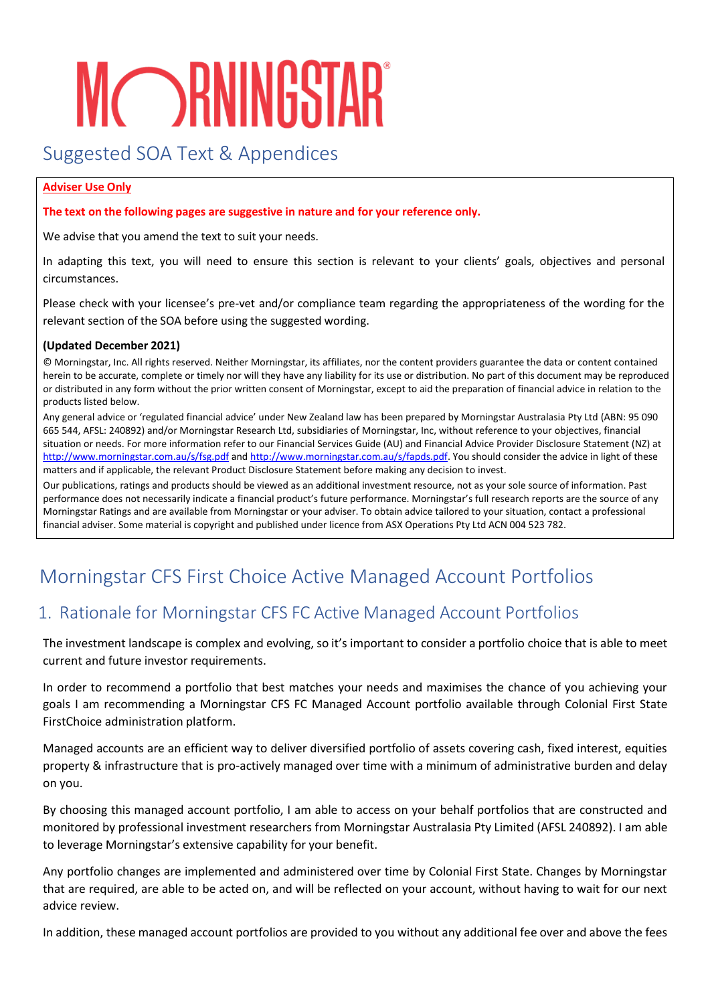# **MCORNINGSTAR**

# Suggested SOA Text & Appendices

#### **Adviser Use Only**

**The text on the following pages are suggestive in nature and for your reference only.**

We advise that you amend the text to suit your needs.

In adapting this text, you will need to ensure this section is relevant to your clients' goals, objectives and personal circumstances.

Please check with your licensee's pre-vet and/or compliance team regarding the appropriateness of the wording for the relevant section of the SOA before using the suggested wording.

#### **(Updated December 2021)**

© Morningstar, Inc. All rights reserved. Neither Morningstar, its affiliates, nor the content providers guarantee the data or content contained herein to be accurate, complete or timely nor will they have any liability for its use or distribution. No part of this document may be reproduced or distributed in any form without the prior written consent of Morningstar, except to aid the preparation of financial advice in relation to the products listed below.

Any general advice or 'regulated financial advice' under New Zealand law has been prepared by Morningstar Australasia Pty Ltd (ABN: 95 090 665 544, AFSL: 240892) and/or Morningstar Research Ltd, subsidiaries of Morningstar, Inc, without reference to your objectives, financial situation or needs. For more information refer to our Financial Services Guide (AU) and Financial Advice Provider Disclosure Statement (NZ) at <http://www.morningstar.com.au/s/fsg.pdf> and [http://www.morningstar.com.au/s/fapds.pdf.](http://www.morningstar.com.au/s/fapds.pdf) You should consider the advice in light of these matters and if applicable, the relevant Product Disclosure Statement before making any decision to invest.

Our publications, ratings and products should be viewed as an additional investment resource, not as your sole source of information. Past performance does not necessarily indicate a financial product's future performance. Morningstar's full research reports are the source of any Morningstar Ratings and are available from Morningstar or your adviser. To obtain advice tailored to your situation, contact a professional financial adviser. Some material is copyright and published under licence from ASX Operations Pty Ltd ACN 004 523 782.

# Morningstar CFS First Choice Active Managed Account Portfolios

# 1. Rationale for Morningstar CFS FC Active Managed Account Portfolios

The investment landscape is complex and evolving, so it's important to consider a portfolio choice that is able to meet current and future investor requirements.

In order to recommend a portfolio that best matches your needs and maximises the chance of you achieving your goals I am recommending a Morningstar CFS FC Managed Account portfolio available through Colonial First State FirstChoice administration platform.

Managed accounts are an efficient way to deliver diversified portfolio of assets covering cash, fixed interest, equities property & infrastructure that is pro-actively managed over time with a minimum of administrative burden and delay on you.

By choosing this managed account portfolio, I am able to access on your behalf portfolios that are constructed and monitored by professional investment researchers from Morningstar Australasia Pty Limited (AFSL 240892). I am able to leverage Morningstar's extensive capability for your benefit.

Any portfolio changes are implemented and administered over time by Colonial First State. Changes by Morningstar that are required, are able to be acted on, and will be reflected on your account, without having to wait for our next advice review.

In addition, these managed account portfolios are provided to you without any additional fee over and above the fees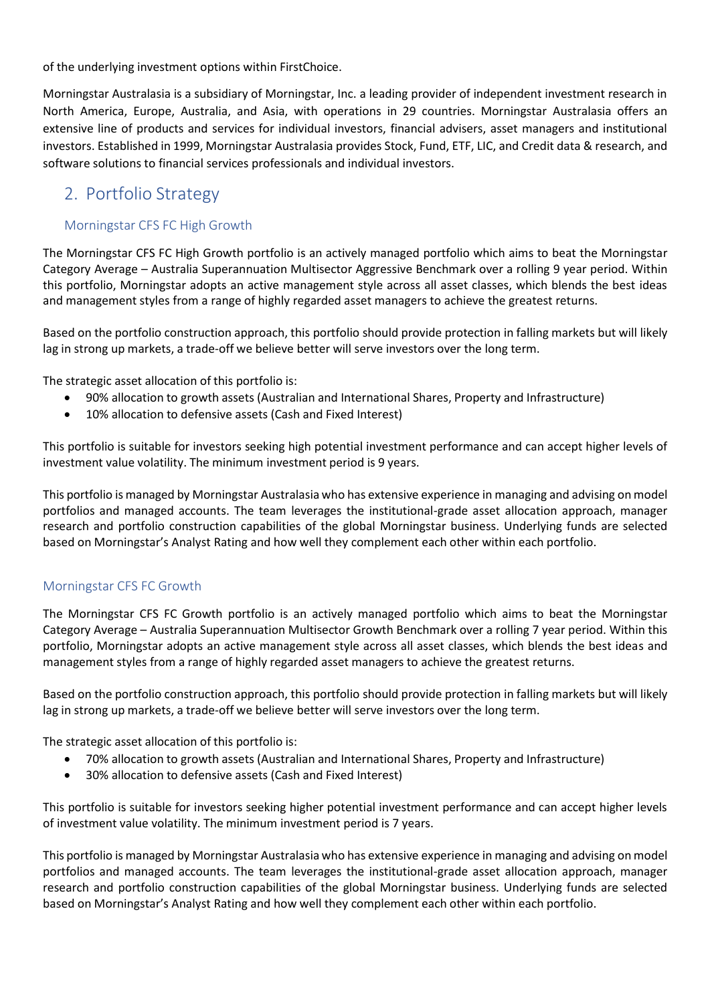of the underlying investment options within FirstChoice.

Morningstar Australasia is a subsidiary of Morningstar, Inc. a leading provider of independent investment research in North America, Europe, Australia, and Asia, with operations in 29 countries. Morningstar Australasia offers an extensive line of products and services for individual investors, financial advisers, asset managers and institutional investors. Established in 1999, Morningstar Australasia provides Stock, Fund, ETF, LIC, and Credit data & research, and software solutions to financial services professionals and individual investors.

## 2. Portfolio Strategy

#### Morningstar CFS FC High Growth

The Morningstar CFS FC High Growth portfolio is an actively managed portfolio which aims to beat the Morningstar Category Average – Australia Superannuation Multisector Aggressive Benchmark over a rolling 9 year period. Within this portfolio, Morningstar adopts an active management style across all asset classes, which blends the best ideas and management styles from a range of highly regarded asset managers to achieve the greatest returns.

Based on the portfolio construction approach, this portfolio should provide protection in falling markets but will likely lag in strong up markets, a trade-off we believe better will serve investors over the long term.

The strategic asset allocation of this portfolio is:

- 90% allocation to growth assets (Australian and International Shares, Property and Infrastructure)
- 10% allocation to defensive assets (Cash and Fixed Interest)

This portfolio is suitable for investors seeking high potential investment performance and can accept higher levels of investment value volatility. The minimum investment period is 9 years.

This portfolio is managed by Morningstar Australasia who has extensive experience in managing and advising on model portfolios and managed accounts. The team leverages the institutional-grade asset allocation approach, manager research and portfolio construction capabilities of the global Morningstar business. Underlying funds are selected based on Morningstar's Analyst Rating and how well they complement each other within each portfolio.

#### Morningstar CFS FC Growth

The Morningstar CFS FC Growth portfolio is an actively managed portfolio which aims to beat the Morningstar Category Average – Australia Superannuation Multisector Growth Benchmark over a rolling 7 year period. Within this portfolio, Morningstar adopts an active management style across all asset classes, which blends the best ideas and management styles from a range of highly regarded asset managers to achieve the greatest returns.

Based on the portfolio construction approach, this portfolio should provide protection in falling markets but will likely lag in strong up markets, a trade-off we believe better will serve investors over the long term.

The strategic asset allocation of this portfolio is:

- 70% allocation to growth assets (Australian and International Shares, Property and Infrastructure)
- 30% allocation to defensive assets (Cash and Fixed Interest)

This portfolio is suitable for investors seeking higher potential investment performance and can accept higher levels of investment value volatility. The minimum investment period is 7 years.

This portfolio is managed by Morningstar Australasia who has extensive experience in managing and advising on model portfolios and managed accounts. The team leverages the institutional-grade asset allocation approach, manager research and portfolio construction capabilities of the global Morningstar business. Underlying funds are selected based on Morningstar's Analyst Rating and how well they complement each other within each portfolio.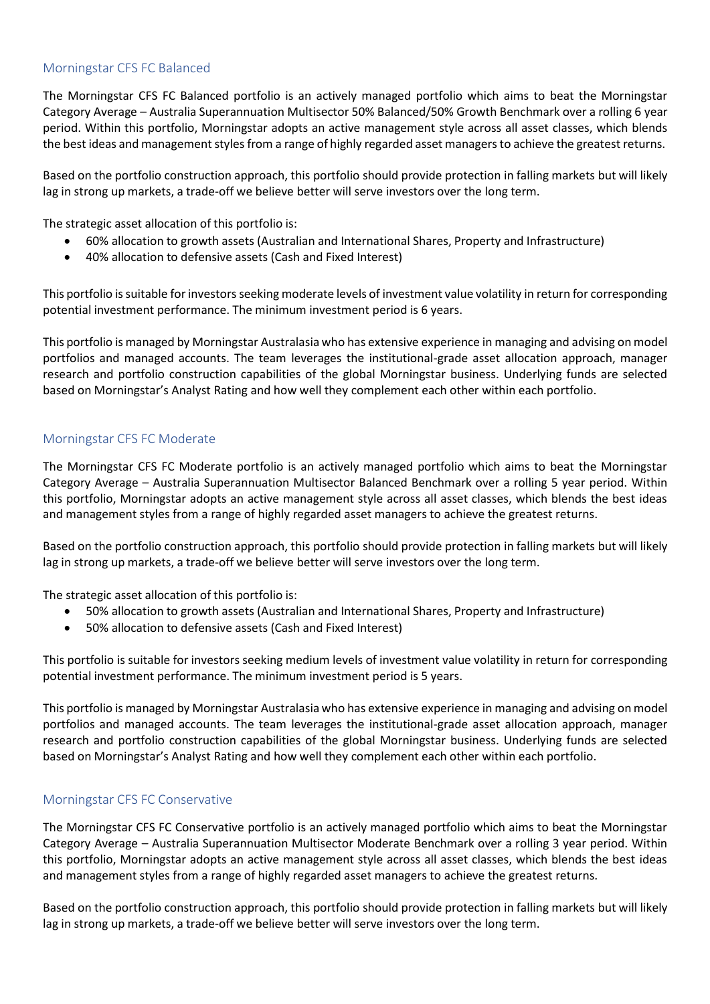#### Morningstar CFS FC Balanced

The Morningstar CFS FC Balanced portfolio is an actively managed portfolio which aims to beat the Morningstar Category Average – Australia Superannuation Multisector 50% Balanced/50% Growth Benchmark over a rolling 6 year period. Within this portfolio, Morningstar adopts an active management style across all asset classes, which blends the best ideas and management styles from a range of highly regarded asset managers to achieve the greatest returns.

Based on the portfolio construction approach, this portfolio should provide protection in falling markets but will likely lag in strong up markets, a trade-off we believe better will serve investors over the long term.

The strategic asset allocation of this portfolio is:

- 60% allocation to growth assets (Australian and International Shares, Property and Infrastructure)
- 40% allocation to defensive assets (Cash and Fixed Interest)

This portfolio is suitable for investors seeking moderate levels of investment value volatility in return for corresponding potential investment performance. The minimum investment period is 6 years.

This portfolio is managed by Morningstar Australasia who has extensive experience in managing and advising on model portfolios and managed accounts. The team leverages the institutional-grade asset allocation approach, manager research and portfolio construction capabilities of the global Morningstar business. Underlying funds are selected based on Morningstar's Analyst Rating and how well they complement each other within each portfolio.

#### Morningstar CFS FC Moderate

The Morningstar CFS FC Moderate portfolio is an actively managed portfolio which aims to beat the Morningstar Category Average – Australia Superannuation Multisector Balanced Benchmark over a rolling 5 year period. Within this portfolio, Morningstar adopts an active management style across all asset classes, which blends the best ideas and management styles from a range of highly regarded asset managers to achieve the greatest returns.

Based on the portfolio construction approach, this portfolio should provide protection in falling markets but will likely lag in strong up markets, a trade-off we believe better will serve investors over the long term.

The strategic asset allocation of this portfolio is:

- 50% allocation to growth assets (Australian and International Shares, Property and Infrastructure)
- 50% allocation to defensive assets (Cash and Fixed Interest)

This portfolio is suitable for investors seeking medium levels of investment value volatility in return for corresponding potential investment performance. The minimum investment period is 5 years.

This portfolio is managed by Morningstar Australasia who has extensive experience in managing and advising on model portfolios and managed accounts. The team leverages the institutional-grade asset allocation approach, manager research and portfolio construction capabilities of the global Morningstar business. Underlying funds are selected based on Morningstar's Analyst Rating and how well they complement each other within each portfolio.

#### Morningstar CFS FC Conservative

The Morningstar CFS FC Conservative portfolio is an actively managed portfolio which aims to beat the Morningstar Category Average – Australia Superannuation Multisector Moderate Benchmark over a rolling 3 year period. Within this portfolio, Morningstar adopts an active management style across all asset classes, which blends the best ideas and management styles from a range of highly regarded asset managers to achieve the greatest returns.

Based on the portfolio construction approach, this portfolio should provide protection in falling markets but will likely lag in strong up markets, a trade-off we believe better will serve investors over the long term.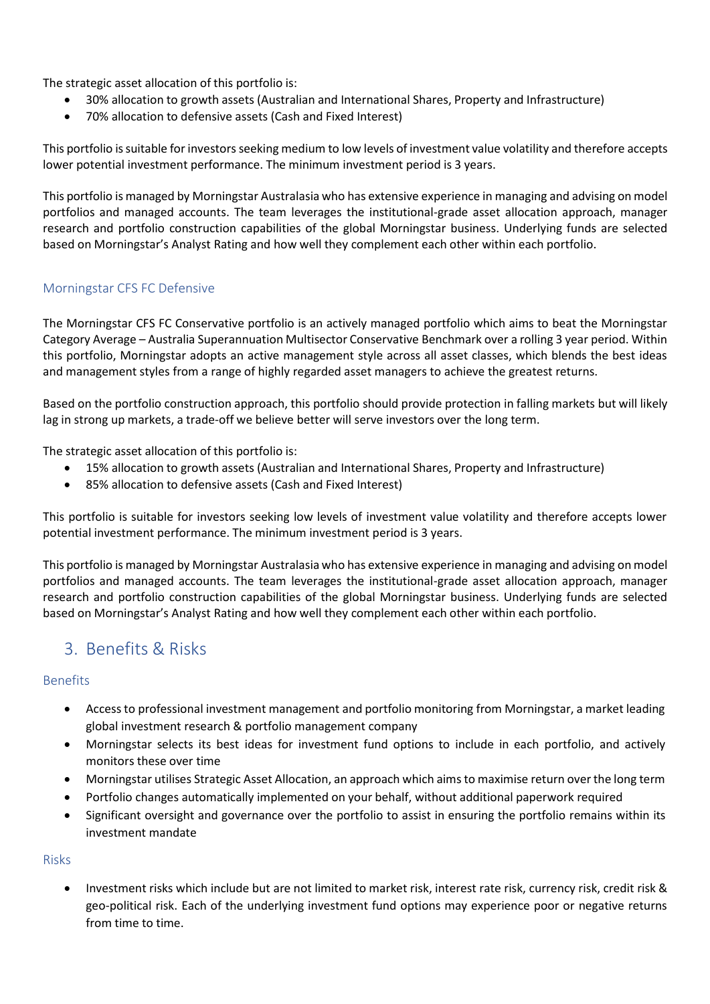The strategic asset allocation of this portfolio is:

- 30% allocation to growth assets (Australian and International Shares, Property and Infrastructure)
- 70% allocation to defensive assets (Cash and Fixed Interest)

This portfolio is suitable for investors seeking medium to low levels of investment value volatility and therefore accepts lower potential investment performance. The minimum investment period is 3 years.

This portfolio is managed by Morningstar Australasia who has extensive experience in managing and advising on model portfolios and managed accounts. The team leverages the institutional-grade asset allocation approach, manager research and portfolio construction capabilities of the global Morningstar business. Underlying funds are selected based on Morningstar's Analyst Rating and how well they complement each other within each portfolio.

#### Morningstar CFS FC Defensive

The Morningstar CFS FC Conservative portfolio is an actively managed portfolio which aims to beat the Morningstar Category Average – Australia Superannuation Multisector Conservative Benchmark over a rolling 3 year period. Within this portfolio, Morningstar adopts an active management style across all asset classes, which blends the best ideas and management styles from a range of highly regarded asset managers to achieve the greatest returns.

Based on the portfolio construction approach, this portfolio should provide protection in falling markets but will likely lag in strong up markets, a trade-off we believe better will serve investors over the long term.

The strategic asset allocation of this portfolio is:

- 15% allocation to growth assets (Australian and International Shares, Property and Infrastructure)
- 85% allocation to defensive assets (Cash and Fixed Interest)

This portfolio is suitable for investors seeking low levels of investment value volatility and therefore accepts lower potential investment performance. The minimum investment period is 3 years.

This portfolio is managed by Morningstar Australasia who has extensive experience in managing and advising on model portfolios and managed accounts. The team leverages the institutional-grade asset allocation approach, manager research and portfolio construction capabilities of the global Morningstar business. Underlying funds are selected based on Morningstar's Analyst Rating and how well they complement each other within each portfolio.

### 3. Benefits & Risks

#### Benefits

- Accessto professional investment management and portfolio monitoring from Morningstar, a market leading global investment research & portfolio management company
- Morningstar selects its best ideas for investment fund options to include in each portfolio, and actively monitors these over time
- Morningstar utilises Strategic Asset Allocation, an approach which aimsto maximise return over the long term
- Portfolio changes automatically implemented on your behalf, without additional paperwork required
- Significant oversight and governance over the portfolio to assist in ensuring the portfolio remains within its investment mandate

#### Risks

Investment risks which include but are not limited to market risk, interest rate risk, currency risk, credit risk & geo-political risk. Each of the underlying investment fund options may experience poor or negative returns from time to time.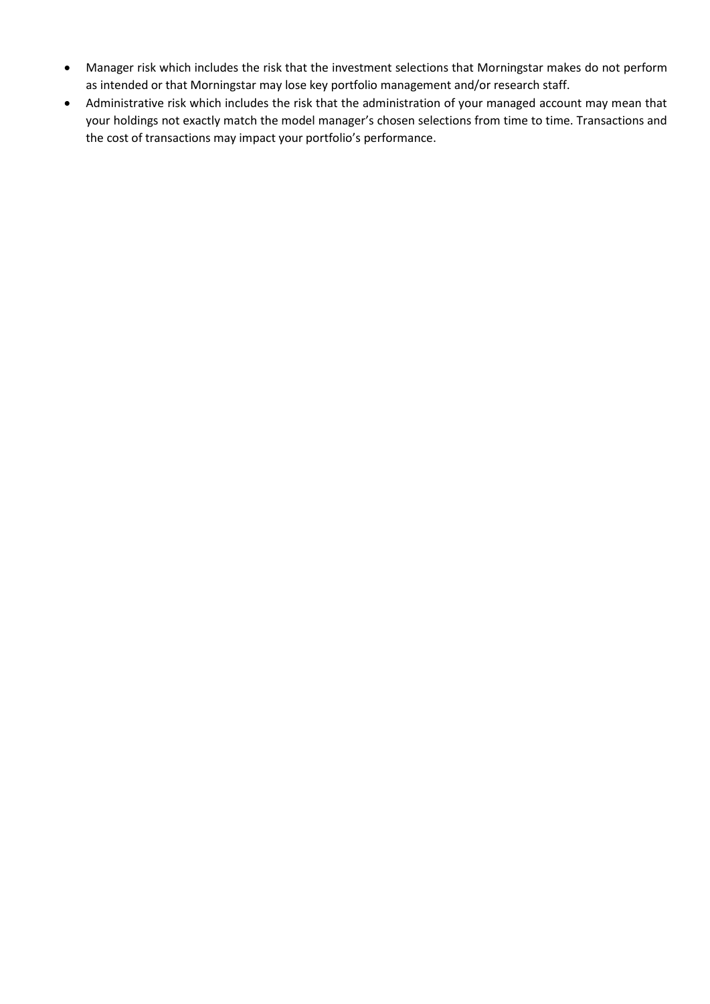- Manager risk which includes the risk that the investment selections that Morningstar makes do not perform as intended or that Morningstar may lose key portfolio management and/or research staff.
- Administrative risk which includes the risk that the administration of your managed account may mean that your holdings not exactly match the model manager's chosen selections from time to time. Transactions and the cost of transactions may impact your portfolio's performance.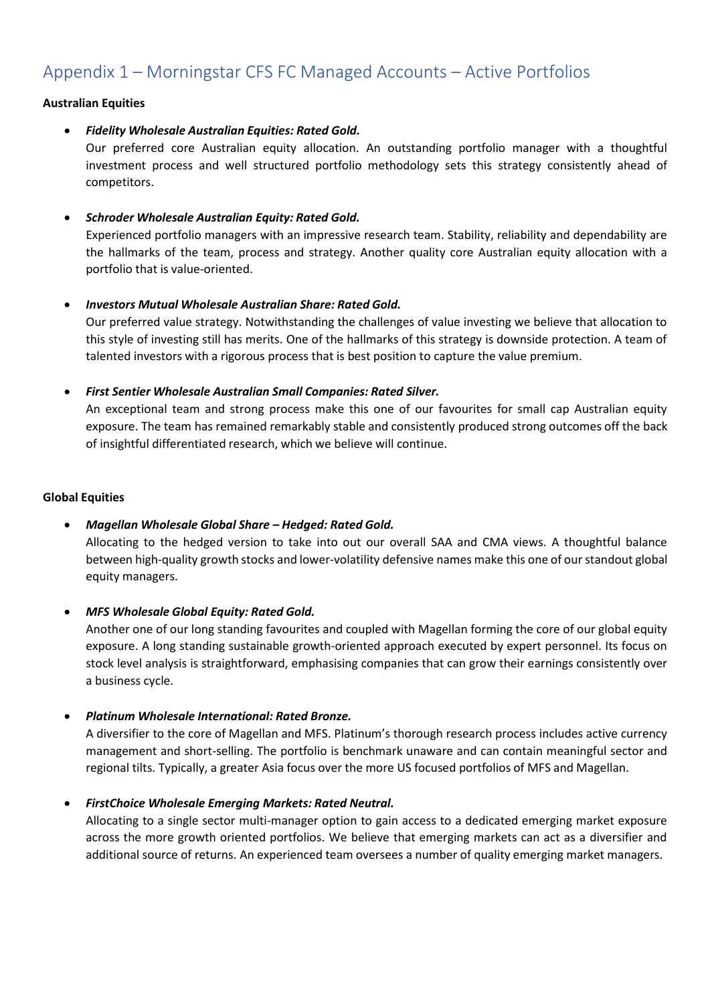# Appendix 1 – Morningstar CFS FC Managed Accounts – Active Portfolios

#### **Australian Equities**

• *Fidelity Wholesale Australian Equities: Rated Gold.*

Our preferred core Australian equity allocation. An outstanding portfolio manager with a thoughtful investment process and well structured portfolio methodology sets this strategy consistently ahead of competitors.

#### • *Schroder Wholesale Australian Equity: Rated Gold.*

Experienced portfolio managers with an impressive research team. Stability, reliability and dependability are the hallmarks of the team, process and strategy. Another quality core Australian equity allocation with a portfolio that is value-oriented.

#### • *Investors Mutual Wholesale Australian Share: Rated Gold.*

Our preferred value strategy. Notwithstanding the challenges of value investing we believe that allocation to this style of investing still has merits. One of the hallmarks of this strategy is downside protection. A team of talented investors with a rigorous process that is best position to capture the value premium.

#### • *First Sentier Wholesale Australian Small Companies: Rated Silver.*

An exceptional team and strong process make this one of our favourites for small cap Australian equity exposure. The team has remained remarkably stable and consistently produced strong outcomes off the back of insightful differentiated research, which we believe will continue.

#### **Global Equities**

• *Magellan Wholesale Global Share – Hedged: Rated Gold.*

Allocating to the hedged version to take into out our overall SAA and CMA views. A thoughtful balance between high-quality growth stocks and lower-volatility defensive names make this one of our standout global equity managers.

• *MFS Wholesale Global Equity: Rated Gold.*

Another one of our long standing favourites and coupled with Magellan forming the core of our global equity exposure. A long standing sustainable growth-oriented approach executed by expert personnel. Its focus on stock level analysis is straightforward, emphasising companies that can grow their earnings consistently over a business cycle.

• *Platinum Wholesale International: Rated Bronze.*

A diversifier to the core of Magellan and MFS. Platinum's thorough research process includes active currency management and short-selling. The portfolio is benchmark unaware and can contain meaningful sector and regional tilts. Typically, a greater Asia focus over the more US focused portfolios of MFS and Magellan.

#### • *FirstChoice Wholesale Emerging Markets: Rated Neutral.*

Allocating to a single sector multi-manager option to gain access to a dedicated emerging market exposure across the more growth oriented portfolios. We believe that emerging markets can act as a diversifier and additional source of returns. An experienced team oversees a number of quality emerging market managers.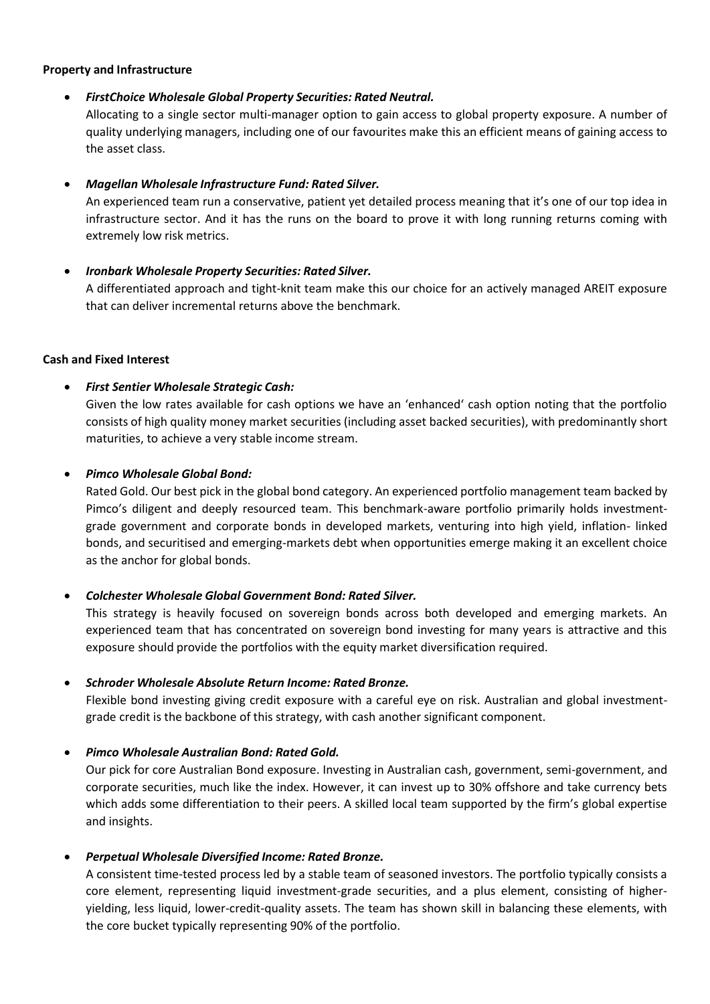#### **Property and Infrastructure**

#### • *FirstChoice Wholesale Global Property Securities: Rated Neutral.*

Allocating to a single sector multi-manager option to gain access to global property exposure. A number of quality underlying managers, including one of our favourites make this an efficient means of gaining access to the asset class.

#### • *Magellan Wholesale Infrastructure Fund: Rated Silver.*

An experienced team run a conservative, patient yet detailed process meaning that it's one of our top idea in infrastructure sector. And it has the runs on the board to prove it with long running returns coming with extremely low risk metrics.

#### • *Ironbark Wholesale Property Securities: Rated Silver.*

A differentiated approach and tight-knit team make this our choice for an actively managed AREIT exposure that can deliver incremental returns above the benchmark.

#### **Cash and Fixed Interest**

#### • *First Sentier Wholesale Strategic Cash:*

Given the low rates available for cash options we have an 'enhanced' cash option noting that the portfolio consists of high quality money market securities (including asset backed securities), with predominantly short maturities, to achieve a very stable income stream.

#### • *Pimco Wholesale Global Bond:*

Rated Gold. Our best pick in the global bond category. An experienced portfolio management team backed by Pimco's diligent and deeply resourced team. This benchmark-aware portfolio primarily holds investmentgrade government and corporate bonds in developed markets, venturing into high yield, inflation- linked bonds, and securitised and emerging-markets debt when opportunities emerge making it an excellent choice as the anchor for global bonds.

#### • *Colchester Wholesale Global Government Bond: Rated Silver.*

This strategy is heavily focused on sovereign bonds across both developed and emerging markets. An experienced team that has concentrated on sovereign bond investing for many years is attractive and this exposure should provide the portfolios with the equity market diversification required.

#### • *Schroder Wholesale Absolute Return Income: Rated Bronze.*

Flexible bond investing giving credit exposure with a careful eye on risk. Australian and global investmentgrade credit is the backbone of this strategy, with cash another significant component.

#### • *Pimco Wholesale Australian Bond: Rated Gold.*

Our pick for core Australian Bond exposure. Investing in Australian cash, government, semi-government, and corporate securities, much like the index. However, it can invest up to 30% offshore and take currency bets which adds some differentiation to their peers. A skilled local team supported by the firm's global expertise and insights.

#### • *Perpetual Wholesale Diversified Income: Rated Bronze.*

A consistent time-tested process led by a stable team of seasoned investors. The portfolio typically consists a core element, representing liquid investment-grade securities, and a plus element, consisting of higheryielding, less liquid, lower-credit-quality assets. The team has shown skill in balancing these elements, with the core bucket typically representing 90% of the portfolio.